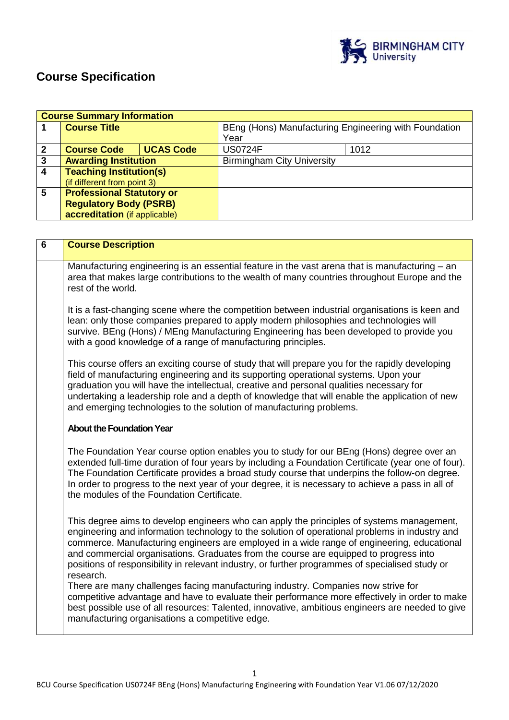

# **Course Specification**

|                 | <b>Course Summary Information</b> |                  |                                                       |      |
|-----------------|-----------------------------------|------------------|-------------------------------------------------------|------|
|                 | <b>Course Title</b>               |                  | BEng (Hons) Manufacturing Engineering with Foundation |      |
|                 |                                   |                  | Year                                                  |      |
| $\mathbf{2}$    | <b>Course Code</b>                | <b>UCAS Code</b> | <b>US0724F</b>                                        | 1012 |
| 3               | <b>Awarding Institution</b>       |                  | <b>Birmingham City University</b>                     |      |
| $\overline{4}$  | <b>Teaching Institution(s)</b>    |                  |                                                       |      |
|                 | (if different from point 3)       |                  |                                                       |      |
| $5\phantom{.0}$ | <b>Professional Statutory or</b>  |                  |                                                       |      |
|                 | <b>Regulatory Body (PSRB)</b>     |                  |                                                       |      |
|                 | accreditation (if applicable)     |                  |                                                       |      |

| $6\phantom{1}6$ | <b>Course Description</b>                                                                                                                                                                                                                                                                                                                                                                                                                                                                          |  |  |
|-----------------|----------------------------------------------------------------------------------------------------------------------------------------------------------------------------------------------------------------------------------------------------------------------------------------------------------------------------------------------------------------------------------------------------------------------------------------------------------------------------------------------------|--|--|
|                 | Manufacturing engineering is an essential feature in the vast arena that is manufacturing - an<br>area that makes large contributions to the wealth of many countries throughout Europe and the<br>rest of the world.                                                                                                                                                                                                                                                                              |  |  |
|                 | It is a fast-changing scene where the competition between industrial organisations is keen and<br>lean: only those companies prepared to apply modern philosophies and technologies will<br>survive. BEng (Hons) / MEng Manufacturing Engineering has been developed to provide you<br>with a good knowledge of a range of manufacturing principles.                                                                                                                                               |  |  |
|                 | This course offers an exciting course of study that will prepare you for the rapidly developing<br>field of manufacturing engineering and its supporting operational systems. Upon your<br>graduation you will have the intellectual, creative and personal qualities necessary for<br>undertaking a leadership role and a depth of knowledge that will enable the application of new<br>and emerging technologies to the solution of manufacturing problems.                                      |  |  |
|                 | <b>About the Foundation Year</b>                                                                                                                                                                                                                                                                                                                                                                                                                                                                   |  |  |
|                 | The Foundation Year course option enables you to study for our BEng (Hons) degree over an<br>extended full-time duration of four years by including a Foundation Certificate (year one of four).<br>The Foundation Certificate provides a broad study course that underpins the follow-on degree.<br>In order to progress to the next year of your degree, it is necessary to achieve a pass in all of<br>the modules of the Foundation Certificate.                                               |  |  |
|                 | This degree aims to develop engineers who can apply the principles of systems management,<br>engineering and information technology to the solution of operational problems in industry and<br>commerce. Manufacturing engineers are employed in a wide range of engineering, educational<br>and commercial organisations. Graduates from the course are equipped to progress into<br>positions of responsibility in relevant industry, or further programmes of specialised study or<br>research. |  |  |
|                 | There are many challenges facing manufacturing industry. Companies now strive for<br>competitive advantage and have to evaluate their performance more effectively in order to make<br>best possible use of all resources: Talented, innovative, ambitious engineers are needed to give<br>manufacturing organisations a competitive edge.                                                                                                                                                         |  |  |

1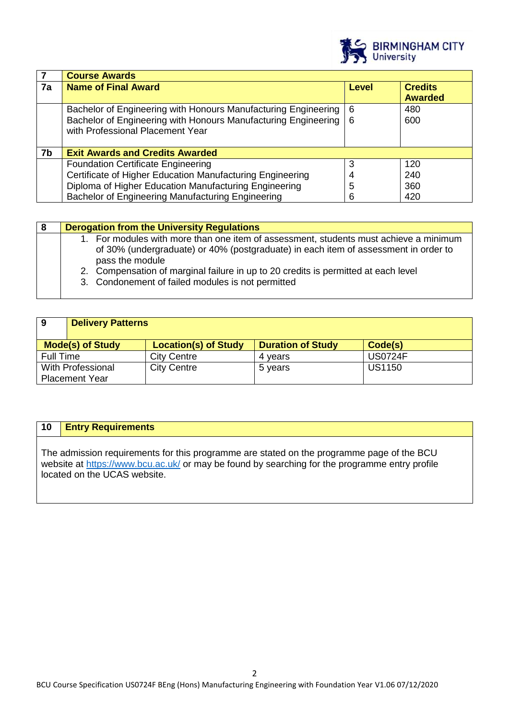

|    | <b>Course Awards</b>                                                                                                                                                 |              |                                  |
|----|----------------------------------------------------------------------------------------------------------------------------------------------------------------------|--------------|----------------------------------|
| 7a | <b>Name of Final Award</b>                                                                                                                                           | <b>Level</b> | <b>Credits</b><br><b>Awarded</b> |
|    | Bachelor of Engineering with Honours Manufacturing Engineering<br>Bachelor of Engineering with Honours Manufacturing Engineering<br>with Professional Placement Year | - 6<br>l 6   | 480<br>600                       |
| 7b | <b>Exit Awards and Credits Awarded</b>                                                                                                                               |              |                                  |
|    | <b>Foundation Certificate Engineering</b>                                                                                                                            | 3            | 120                              |
|    | Certificate of Higher Education Manufacturing Engineering                                                                                                            | 4            | 240                              |
|    | Diploma of Higher Education Manufacturing Engineering                                                                                                                | 5            | 360                              |
|    | Bachelor of Engineering Manufacturing Engineering                                                                                                                    | 6            | 420                              |

| -8 | <b>Derogation from the University Regulations</b>                                                                                                                                                                                                                                                                                          |
|----|--------------------------------------------------------------------------------------------------------------------------------------------------------------------------------------------------------------------------------------------------------------------------------------------------------------------------------------------|
|    | 1. For modules with more than one item of assessment, students must achieve a minimum<br>of 30% (undergraduate) or 40% (postgraduate) in each item of assessment in order to<br>pass the module<br>2. Compensation of marginal failure in up to 20 credits is permitted at each level<br>3. Condonement of failed modules is not permitted |

| 9                 | <b>Delivery Patterns</b> |                             |                          |                |  |
|-------------------|--------------------------|-----------------------------|--------------------------|----------------|--|
|                   | <b>Mode(s) of Study</b>  | <b>Location(s) of Study</b> | <b>Duration of Study</b> | Code(s)        |  |
| Full Time         |                          | <b>City Centre</b>          | 4 vears                  | <b>US0724F</b> |  |
| With Professional |                          | <b>City Centre</b>          | 5 years                  | <b>US1150</b>  |  |
|                   | <b>Placement Year</b>    |                             |                          |                |  |

# **10 Entry Requirements**

The admission requirements for this programme are stated on the programme page of the BCU website at<https://www.bcu.ac.uk/> or may be found by searching for the programme entry profile located on the UCAS website.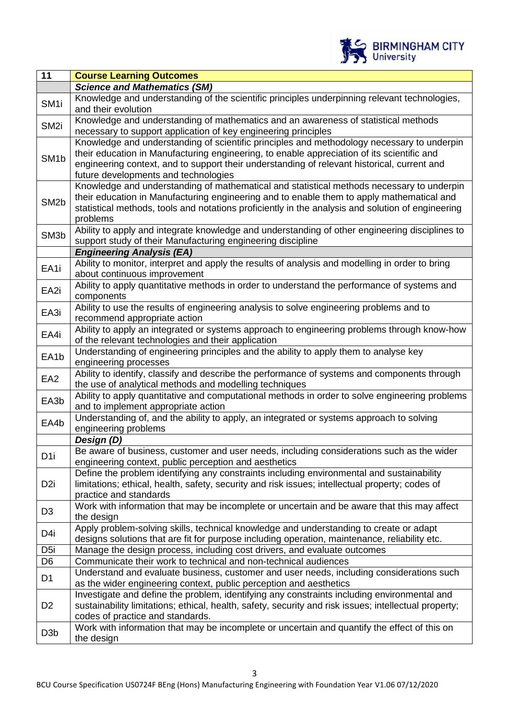

| 11                | <b>Course Learning Outcomes</b>                                                                                                                                                                                                                                                                                                 |
|-------------------|---------------------------------------------------------------------------------------------------------------------------------------------------------------------------------------------------------------------------------------------------------------------------------------------------------------------------------|
|                   | <b>Science and Mathematics (SM)</b>                                                                                                                                                                                                                                                                                             |
| SM <sub>1</sub>   | Knowledge and understanding of the scientific principles underpinning relevant technologies,<br>and their evolution                                                                                                                                                                                                             |
| SM <sub>2i</sub>  | Knowledge and understanding of mathematics and an awareness of statistical methods<br>necessary to support application of key engineering principles                                                                                                                                                                            |
| SM <sub>1</sub> b | Knowledge and understanding of scientific principles and methodology necessary to underpin<br>their education in Manufacturing engineering, to enable appreciation of its scientific and<br>engineering context, and to support their understanding of relevant historical, current and<br>future developments and technologies |
| SM <sub>2</sub> b | Knowledge and understanding of mathematical and statistical methods necessary to underpin<br>their education in Manufacturing engineering and to enable them to apply mathematical and<br>statistical methods, tools and notations proficiently in the analysis and solution of engineering<br>problems                         |
| SM <sub>3</sub> b | Ability to apply and integrate knowledge and understanding of other engineering disciplines to<br>support study of their Manufacturing engineering discipline                                                                                                                                                                   |
|                   | <b>Engineering Analysis (EA)</b>                                                                                                                                                                                                                                                                                                |
| EA1i              | Ability to monitor, interpret and apply the results of analysis and modelling in order to bring<br>about continuous improvement                                                                                                                                                                                                 |
| EA2i              | Ability to apply quantitative methods in order to understand the performance of systems and<br>components                                                                                                                                                                                                                       |
| EA3i              | Ability to use the results of engineering analysis to solve engineering problems and to<br>recommend appropriate action                                                                                                                                                                                                         |
| EA4i              | Ability to apply an integrated or systems approach to engineering problems through know-how<br>of the relevant technologies and their application                                                                                                                                                                               |
| EA <sub>1</sub> b | Understanding of engineering principles and the ability to apply them to analyse key<br>engineering processes                                                                                                                                                                                                                   |
| EA <sub>2</sub>   | Ability to identify, classify and describe the performance of systems and components through<br>the use of analytical methods and modelling techniques                                                                                                                                                                          |
| EA3b              | Ability to apply quantitative and computational methods in order to solve engineering problems<br>and to implement appropriate action                                                                                                                                                                                           |
| EA4b              | Understanding of, and the ability to apply, an integrated or systems approach to solving<br>engineering problems                                                                                                                                                                                                                |
|                   | Design (D)                                                                                                                                                                                                                                                                                                                      |
| D <sub>1</sub>    | Be aware of business, customer and user needs, including considerations such as the wider<br>engineering context, public perception and aesthetics                                                                                                                                                                              |
| D <sub>2i</sub>   | Define the problem identifying any constraints including environmental and sustainability<br>limitations; ethical, health, safety, security and risk issues; intellectual property; codes of<br>practice and standards                                                                                                          |
| D <sub>3</sub>    | Work with information that may be incomplete or uncertain and be aware that this may affect<br>the design                                                                                                                                                                                                                       |
| D4i               | Apply problem-solving skills, technical knowledge and understanding to create or adapt<br>designs solutions that are fit for purpose including operation, maintenance, reliability etc.                                                                                                                                         |
| D <sub>5i</sub>   | Manage the design process, including cost drivers, and evaluate outcomes                                                                                                                                                                                                                                                        |
| D <sub>6</sub>    | Communicate their work to technical and non-technical audiences                                                                                                                                                                                                                                                                 |
| D <sub>1</sub>    | Understand and evaluate business, customer and user needs, including considerations such<br>as the wider engineering context, public perception and aesthetics                                                                                                                                                                  |
| D <sub>2</sub>    | Investigate and define the problem, identifying any constraints including environmental and<br>sustainability limitations; ethical, health, safety, security and risk issues; intellectual property;<br>codes of practice and standards.                                                                                        |
| D <sub>3</sub> b  | Work with information that may be incomplete or uncertain and quantify the effect of this on<br>the design                                                                                                                                                                                                                      |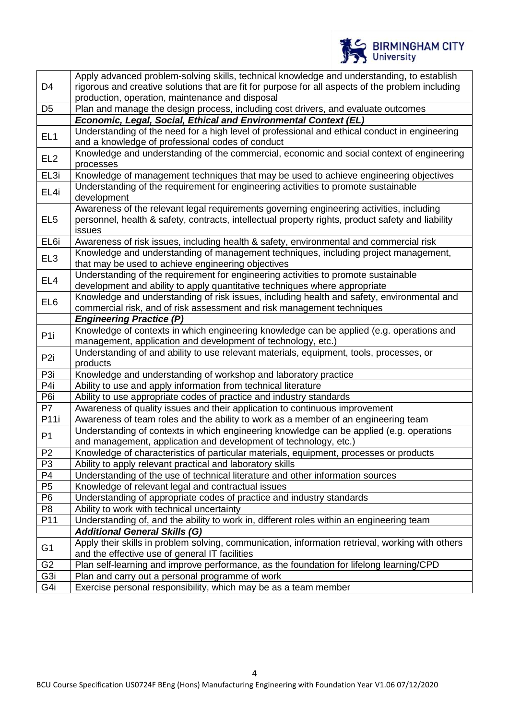

|                  | Apply advanced problem-solving skills, technical knowledge and understanding, to establish        |
|------------------|---------------------------------------------------------------------------------------------------|
| D <sub>4</sub>   | rigorous and creative solutions that are fit for purpose for all aspects of the problem including |
|                  | production, operation, maintenance and disposal                                                   |
| D <sub>5</sub>   | Plan and manage the design process, including cost drivers, and evaluate outcomes                 |
|                  | Economic, Legal, Social, Ethical and Environmental Context (EL)                                   |
| EL <sub>1</sub>  | Understanding of the need for a high level of professional and ethical conduct in engineering     |
|                  | and a knowledge of professional codes of conduct                                                  |
|                  | Knowledge and understanding of the commercial, economic and social context of engineering         |
| EL <sub>2</sub>  | processes                                                                                         |
| EL3i             | Knowledge of management techniques that may be used to achieve engineering objectives             |
|                  | Understanding of the requirement for engineering activities to promote sustainable                |
| EL4i             | development                                                                                       |
|                  | Awareness of the relevant legal requirements governing engineering activities, including          |
| EL <sub>5</sub>  | personnel, health & safety, contracts, intellectual property rights, product safety and liability |
|                  | issues                                                                                            |
| EL <sub>6i</sub> | Awareness of risk issues, including health & safety, environmental and commercial risk            |
|                  | Knowledge and understanding of management techniques, including project management,               |
| EL <sub>3</sub>  | that may be used to achieve engineering objectives                                                |
|                  | Understanding of the requirement for engineering activities to promote sustainable                |
| EL <sub>4</sub>  | development and ability to apply quantitative techniques where appropriate                        |
|                  |                                                                                                   |
| EL <sub>6</sub>  | Knowledge and understanding of risk issues, including health and safety, environmental and        |
|                  | commercial risk, and of risk assessment and risk management techniques                            |
|                  | <b>Engineering Practice (P)</b>                                                                   |
| P <sub>1i</sub>  | Knowledge of contexts in which engineering knowledge can be applied (e.g. operations and          |
|                  | management, application and development of technology, etc.)                                      |
| P <sub>2i</sub>  | Understanding of and ability to use relevant materials, equipment, tools, processes, or           |
|                  | products                                                                                          |
| P3i              | Knowledge and understanding of workshop and laboratory practice                                   |
| P4i              | Ability to use and apply information from technical literature                                    |
| P6i              | Ability to use appropriate codes of practice and industry standards                               |
| P7               | Awareness of quality issues and their application to continuous improvement                       |
| P11i             | Awareness of team roles and the ability to work as a member of an engineering team                |
|                  | Understanding of contexts in which engineering knowledge can be applied (e.g. operations          |
| P <sub>1</sub>   | and management, application and development of technology, etc.)                                  |
| P <sub>2</sub>   | Knowledge of characteristics of particular materials, equipment, processes or products            |
| P <sub>3</sub>   | Ability to apply relevant practical and laboratory skills                                         |
| P <sub>4</sub>   | Understanding of the use of technical literature and other information sources                    |
| P <sub>5</sub>   | Knowledge of relevant legal and contractual issues                                                |
| P <sub>6</sub>   | Understanding of appropriate codes of practice and industry standards                             |
| P <sub>8</sub>   | Ability to work with technical uncertainty                                                        |
| P11              | Understanding of, and the ability to work in, different roles within an engineering team          |
|                  |                                                                                                   |
|                  | <b>Additional General Skills (G)</b>                                                              |
| G <sub>1</sub>   | Apply their skills in problem solving, communication, information retrieval, working with others  |
|                  | and the effective use of general IT facilities                                                    |
| G <sub>2</sub>   | Plan self-learning and improve performance, as the foundation for lifelong learning/CPD           |
| G <sub>3i</sub>  | Plan and carry out a personal programme of work                                                   |
| G4i              | Exercise personal responsibility, which may be as a team member                                   |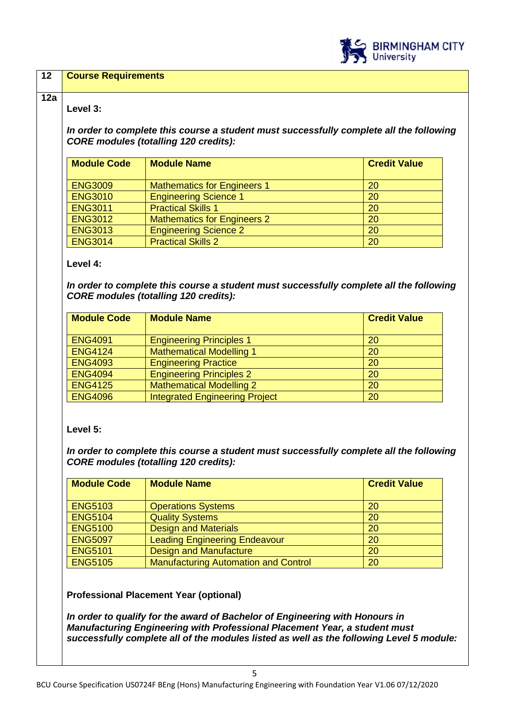

| Level 3:                                                                                                                                   |                                                                                                                                                               |                       |  |
|--------------------------------------------------------------------------------------------------------------------------------------------|---------------------------------------------------------------------------------------------------------------------------------------------------------------|-----------------------|--|
|                                                                                                                                            | In order to complete this course a student must successfully complete all the following<br><b>CORE modules (totalling 120 credits):</b>                       |                       |  |
| <b>Module Code</b>                                                                                                                         | <b>Module Name</b>                                                                                                                                            | <b>Credit Value</b>   |  |
| <b>ENG3009</b>                                                                                                                             | <b>Mathematics for Engineers 1</b>                                                                                                                            | 20                    |  |
| <b>ENG3010</b>                                                                                                                             | <b>Engineering Science 1</b>                                                                                                                                  | $\overline{20}$       |  |
| <b>ENG3011</b>                                                                                                                             | <b>Practical Skills 1</b>                                                                                                                                     | $\overline{20}$       |  |
| <b>ENG3012</b>                                                                                                                             | <b>Mathematics for Engineers 2</b>                                                                                                                            | 20                    |  |
| <b>ENG3013</b>                                                                                                                             | <b>Engineering Science 2</b>                                                                                                                                  | 20                    |  |
| <b>ENG3014</b>                                                                                                                             | <b>Practical Skills 2</b>                                                                                                                                     | 20                    |  |
| <b>Module Code</b><br><b>ENG4091</b>                                                                                                       | <b>Module Name</b>                                                                                                                                            | <b>Credit Value</b>   |  |
|                                                                                                                                            |                                                                                                                                                               |                       |  |
| <b>ENG4124</b>                                                                                                                             | <b>Engineering Principles 1</b><br><b>Mathematical Modelling 1</b>                                                                                            | 20<br>$\overline{20}$ |  |
| <b>ENG4093</b>                                                                                                                             | <b>Engineering Practice</b>                                                                                                                                   | 20                    |  |
| <b>ENG4094</b>                                                                                                                             | <b>Engineering Principles 2</b>                                                                                                                               | 20                    |  |
| <b>ENG4125</b>                                                                                                                             | <b>Mathematical Modelling 2</b>                                                                                                                               | 20                    |  |
| <b>ENG4096</b>                                                                                                                             | <b>Integrated Engineering Project</b>                                                                                                                         | 20                    |  |
|                                                                                                                                            |                                                                                                                                                               |                       |  |
|                                                                                                                                            | In order to complete this course a student must successfully complete all the following<br><b>CORE modules (totalling 120 credits):</b><br><b>Module Name</b> | <b>Credit Value</b>   |  |
|                                                                                                                                            |                                                                                                                                                               |                       |  |
|                                                                                                                                            | <b>Operations Systems</b>                                                                                                                                     | 20                    |  |
|                                                                                                                                            | <b>Quality Systems</b>                                                                                                                                        | 20                    |  |
|                                                                                                                                            | <b>Design and Materials</b>                                                                                                                                   | 20                    |  |
|                                                                                                                                            | <b>Leading Engineering Endeavour</b>                                                                                                                          | 20                    |  |
|                                                                                                                                            | <b>Design and Manufacture</b>                                                                                                                                 | 20                    |  |
| Level 5:<br><b>Module Code</b><br><b>ENG5103</b><br><b>ENG5104</b><br><b>ENG5100</b><br><b>ENG5097</b><br><b>ENG5101</b><br><b>ENG5105</b> | <b>Manufacturing Automation and Control</b>                                                                                                                   | 20                    |  |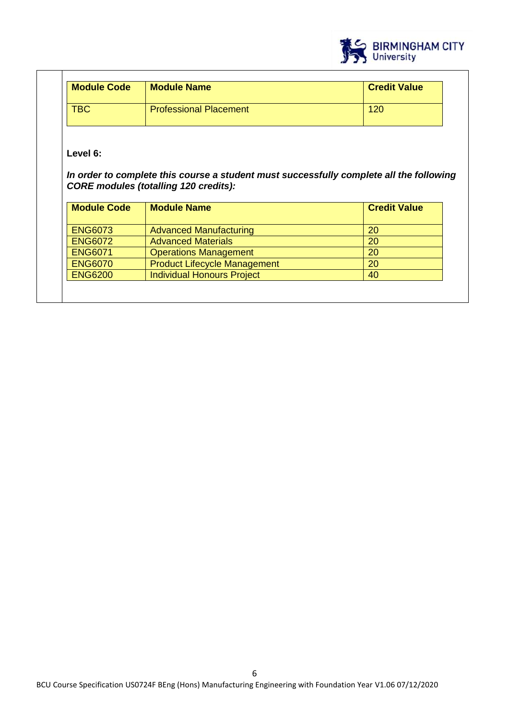

| <b>Module Code</b> | <b>Module Name</b>            | <b>Credit Value</b> |
|--------------------|-------------------------------|---------------------|
| TBC                | <b>Professional Placement</b> | 120                 |

**Level 6:**

 $\overline{\phantom{a}}$ 

*In order to complete this course a student must successfully complete all the following CORE modules (totalling 120 credits):*

| <b>Module Code</b> | <b>Module Name</b>                  | <b>Credit Value</b> |
|--------------------|-------------------------------------|---------------------|
| <b>ENG6073</b>     | <b>Advanced Manufacturing</b>       | 20                  |
| <b>ENG6072</b>     | <b>Advanced Materials</b>           | 20                  |
| <b>ENG6071</b>     | <b>Operations Management</b>        | 20                  |
| <b>ENG6070</b>     | <b>Product Lifecycle Management</b> | 20                  |
| <b>ENG6200</b>     | <b>Individual Honours Project</b>   | 40                  |
|                    |                                     |                     |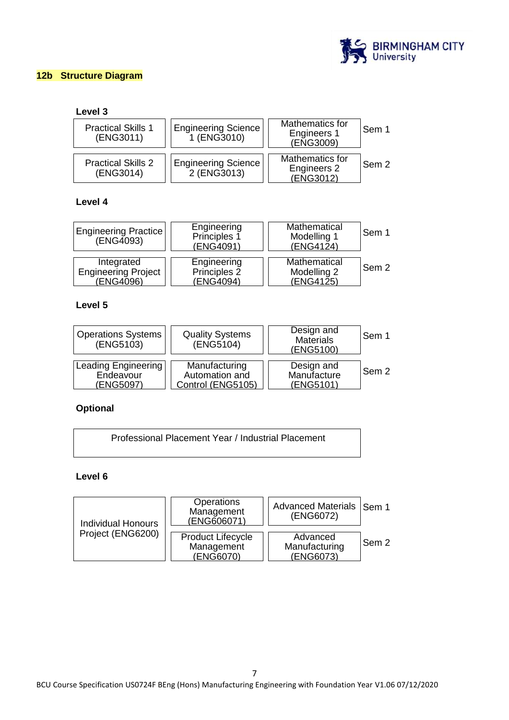

# **12b Structure Diagram**

# **Level 3**

| <b>Practical Skills 1</b><br>(ENG3011) | <b>Engineering Science</b><br>1 (ENG3010) | Mathematics for<br>Engineers 1<br>(ENG3009) | l Sem 1 |
|----------------------------------------|-------------------------------------------|---------------------------------------------|---------|
| <b>Practical Skills 2</b><br>(ENG3014) | <b>Engineering Science</b><br>2 (ENG3013) | Mathematics for<br>Engineers 2<br>(ENG3012) | l Sem 2 |

# **Level 4**

| Engineering Practice<br>$(ENG\widetilde{4}093)$ | Engineering<br>Principles 1<br>(ENG4091) | Mathematical<br>Modelling 1<br>(ENG4124) | Sem 1 |
|-------------------------------------------------|------------------------------------------|------------------------------------------|-------|
| Integrated                                      | Engineering                              | Mathematical                             | Sem 2 |
| <b>Engineering Project</b>                      | Principles 2                             | Modelling 2                              |       |
| (ENG4096)                                       | (ENG4094)                                | (ENG4125)                                |       |

# **Level 5**

| <b>Operations Systems</b><br>(ENG5103) | <b>Quality Systems</b><br>(ENGS104) | Design and<br><b>Materials</b><br>(ENG5100) | Sem 1 |
|----------------------------------------|-------------------------------------|---------------------------------------------|-------|
| Leading Engineering                    | Manufacturing                       | Design and                                  | Sem 2 |
| Endeavour                              | Automation and                      | Manufacture                                 |       |
| (ENG5097)                              | Control (ENG5105)                   | (ENG5101)                                   |       |

# **Optional**

| Professional Placement Year / Industrial Placement |
|----------------------------------------------------|
|                                                    |

# **Level 6**

| <b>Individual Honours</b> | <b>Operations</b><br>Management<br>(ENG606071)      | Advanced Materials   Sem 1<br>(ENG6072) |       |
|---------------------------|-----------------------------------------------------|-----------------------------------------|-------|
| Project (ENG6200)         | <b>Product Lifecycle</b><br>Management<br>(ENG6070) | Advanced<br>Manufacturing<br>(ENG6073)  | Sem 2 |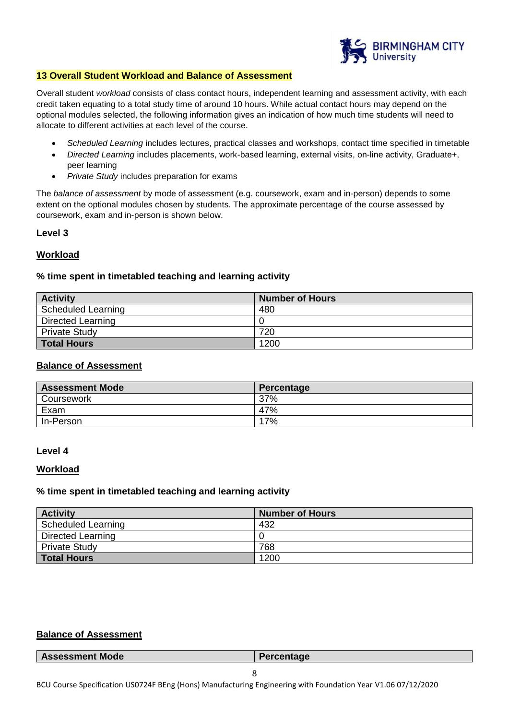

### **13 Overall Student Workload and Balance of Assessment**

Overall student *workload* consists of class contact hours, independent learning and assessment activity, with each credit taken equating to a total study time of around 10 hours. While actual contact hours may depend on the optional modules selected, the following information gives an indication of how much time students will need to allocate to different activities at each level of the course.

- *Scheduled Learning* includes lectures, practical classes and workshops, contact time specified in timetable
- *Directed Learning* includes placements, work-based learning, external visits, on-line activity, Graduate+, peer learning
- *Private Study* includes preparation for exams

The *balance of assessment* by mode of assessment (e.g. coursework, exam and in-person) depends to some extent on the optional modules chosen by students. The approximate percentage of the course assessed by coursework, exam and in-person is shown below.

#### **Level 3**

### **Workload**

### **% time spent in timetabled teaching and learning activity**

| <b>Activity</b>          | <b>Number of Hours</b> |
|--------------------------|------------------------|
| Scheduled Learning       | 480                    |
| <b>Directed Learning</b> |                        |
| <b>Private Study</b>     | 720                    |
| <b>Total Hours</b>       | 1200                   |

# **Balance of Assessment**

| <b>Assessment Mode</b> | Percentage |
|------------------------|------------|
| Coursework             | 37%        |
| Exam                   | 47%        |
| In-Person              | 17%        |

#### **Level 4**

#### **Workload**

#### **% time spent in timetabled teaching and learning activity**

| <b>Activity</b>      | <b>Number of Hours</b> |
|----------------------|------------------------|
| Scheduled Learning   | 432                    |
| Directed Learning    |                        |
| <b>Private Study</b> | 768                    |
| <b>Total Hours</b>   | 1200                   |

# **Balance of Assessment**

| <b>Assessment Mode</b> | Percentage |
|------------------------|------------|
|                        |            |

8